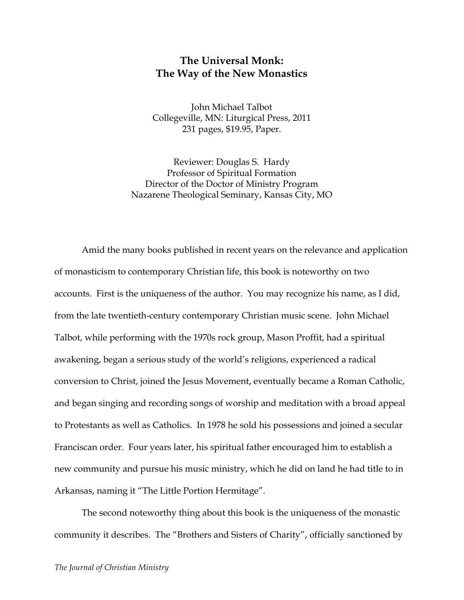## **The Universal Monk: The Way of the New Monastics**

John Michael Talbot Collegeville, MN: Liturgical Press, 2011 231 pages, \$19.95, Paper.

Reviewer: Douglas S. Hardy Professor of Spiritual Formation Director of the Doctor of Ministry Program Nazarene Theological Seminary, Kansas City, MO

Amid the many books published in recent years on the relevance and application of monasticism to contemporary Christian life, this book is noteworthy on two accounts. First is the uniqueness of the author. You may recognize his name, as I did, from the late twentieth-century contemporary Christian music scene. John Michael Talbot, while performing with the 1970s rock group, Mason Proffit, had a spiritual awakening, began a serious study of the world's religions, experienced a radical conversion to Christ, joined the Jesus Movement, eventually became a Roman Catholic, and began singing and recording songs of worship and meditation with a broad appeal to Protestants as well as Catholics. In 1978 he sold his possessions and joined a secular Franciscan order. Four years later, his spiritual father encouraged him to establish a new community and pursue his music ministry, which he did on land he had title to in Arkansas, naming it "The Little Portion Hermitage".

The second noteworthy thing about this book is the uniqueness of the monastic community it describes. The "Brothers and Sisters of Charity", officially sanctioned by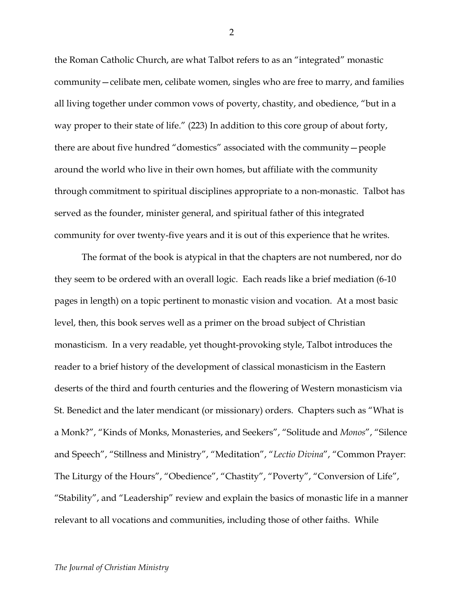the Roman Catholic Church, are what Talbot refers to as an "integrated" monastic community—celibate men, celibate women, singles who are free to marry, and families all living together under common vows of poverty, chastity, and obedience, "but in a way proper to their state of life." (223) In addition to this core group of about forty, there are about five hundred "domestics" associated with the community—people around the world who live in their own homes, but affiliate with the community through commitment to spiritual disciplines appropriate to a non-monastic. Talbot has served as the founder, minister general, and spiritual father of this integrated community for over twenty-five years and it is out of this experience that he writes.

The format of the book is atypical in that the chapters are not numbered, nor do they seem to be ordered with an overall logic. Each reads like a brief mediation (6-10 pages in length) on a topic pertinent to monastic vision and vocation. At a most basic level, then, this book serves well as a primer on the broad subject of Christian monasticism. In a very readable, yet thought-provoking style, Talbot introduces the reader to a brief history of the development of classical monasticism in the Eastern deserts of the third and fourth centuries and the flowering of Western monasticism via St. Benedict and the later mendicant (or missionary) orders. Chapters such as "What is a Monk?", "Kinds of Monks, Monasteries, and Seekers", "Solitude and *Monos*", "Silence and Speech", "Stillness and Ministry", "Meditation", "*Lectio Divina*", "Common Prayer: The Liturgy of the Hours", "Obedience", "Chastity", "Poverty", "Conversion of Life", "Stability", and "Leadership" review and explain the basics of monastic life in a manner relevant to all vocations and communities, including those of other faiths. While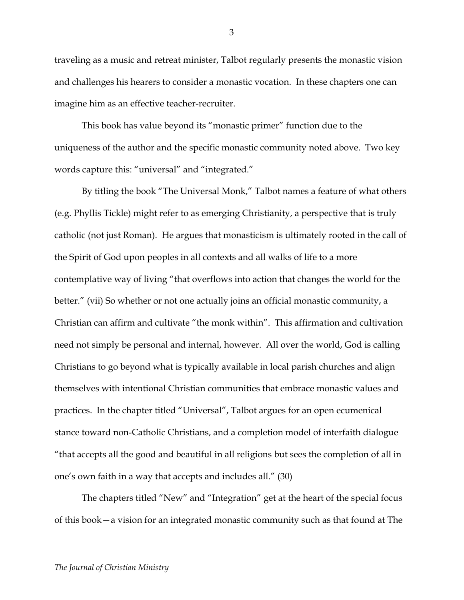traveling as a music and retreat minister, Talbot regularly presents the monastic vision and challenges his hearers to consider a monastic vocation. In these chapters one can imagine him as an effective teacher-recruiter.

This book has value beyond its "monastic primer" function due to the uniqueness of the author and the specific monastic community noted above. Two key words capture this: "universal" and "integrated."

By titling the book "The Universal Monk," Talbot names a feature of what others (e.g. Phyllis Tickle) might refer to as emerging Christianity, a perspective that is truly catholic (not just Roman). He argues that monasticism is ultimately rooted in the call of the Spirit of God upon peoples in all contexts and all walks of life to a more contemplative way of living "that overflows into action that changes the world for the better." (vii) So whether or not one actually joins an official monastic community, a Christian can affirm and cultivate "the monk within". This affirmation and cultivation need not simply be personal and internal, however. All over the world, God is calling Christians to go beyond what is typically available in local parish churches and align themselves with intentional Christian communities that embrace monastic values and practices. In the chapter titled "Universal", Talbot argues for an open ecumenical stance toward non-Catholic Christians, and a completion model of interfaith dialogue "that accepts all the good and beautiful in all religions but sees the completion of all in one's own faith in a way that accepts and includes all." (30)

The chapters titled "New" and "Integration" get at the heart of the special focus of this book—a vision for an integrated monastic community such as that found at The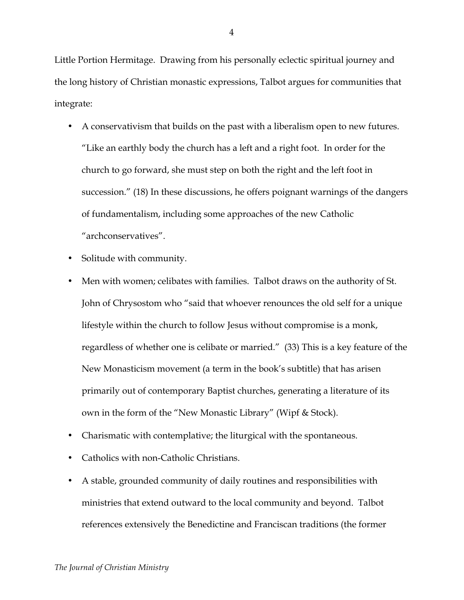Little Portion Hermitage. Drawing from his personally eclectic spiritual journey and the long history of Christian monastic expressions, Talbot argues for communities that integrate:

- A conservativism that builds on the past with a liberalism open to new futures. "Like an earthly body the church has a left and a right foot. In order for the church to go forward, she must step on both the right and the left foot in succession." (18) In these discussions, he offers poignant warnings of the dangers of fundamentalism, including some approaches of the new Catholic "archconservatives".
- Solitude with community.
- Men with women; celibates with families. Talbot draws on the authority of St. John of Chrysostom who "said that whoever renounces the old self for a unique lifestyle within the church to follow Jesus without compromise is a monk, regardless of whether one is celibate or married." (33) This is a key feature of the New Monasticism movement (a term in the book's subtitle) that has arisen primarily out of contemporary Baptist churches, generating a literature of its own in the form of the "New Monastic Library" (Wipf & Stock).
- Charismatic with contemplative; the liturgical with the spontaneous.
- Catholics with non-Catholic Christians.
- A stable, grounded community of daily routines and responsibilities with ministries that extend outward to the local community and beyond. Talbot references extensively the Benedictine and Franciscan traditions (the former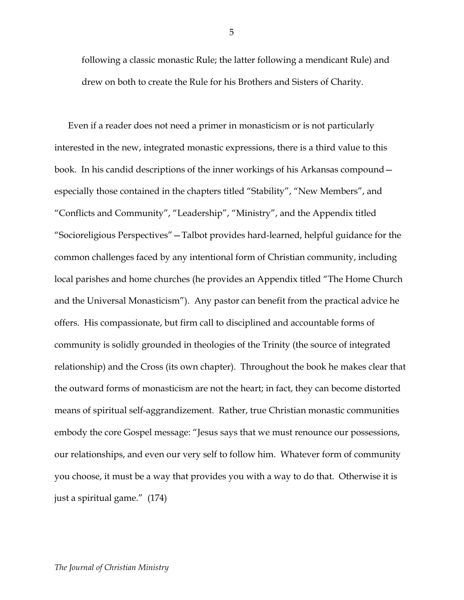following a classic monastic Rule; the latter following a mendicant Rule) and drew on both to create the Rule for his Brothers and Sisters of Charity.

Even if a reader does not need a primer in monasticism or is not particularly interested in the new, integrated monastic expressions, there is a third value to this book. In his candid descriptions of the inner workings of his Arkansas compound especially those contained in the chapters titled "Stability", "New Members", and "Conflicts and Community", "Leadership", "Ministry", and the Appendix titled "Socioreligious Perspectives"—Talbot provides hard-learned, helpful guidance for the common challenges faced by any intentional form of Christian community, including local parishes and home churches (he provides an Appendix titled "The Home Church and the Universal Monasticism"). Any pastor can benefit from the practical advice he offers. His compassionate, but firm call to disciplined and accountable forms of community is solidly grounded in theologies of the Trinity (the source of integrated relationship) and the Cross (its own chapter). Throughout the book he makes clear that the outward forms of monasticism are not the heart; in fact, they can become distorted means of spiritual self-aggrandizement. Rather, true Christian monastic communities embody the core Gospel message: "Jesus says that we must renounce our possessions, our relationships, and even our very self to follow him. Whatever form of community you choose, it must be a way that provides you with a way to do that. Otherwise it is just a spiritual game." (174)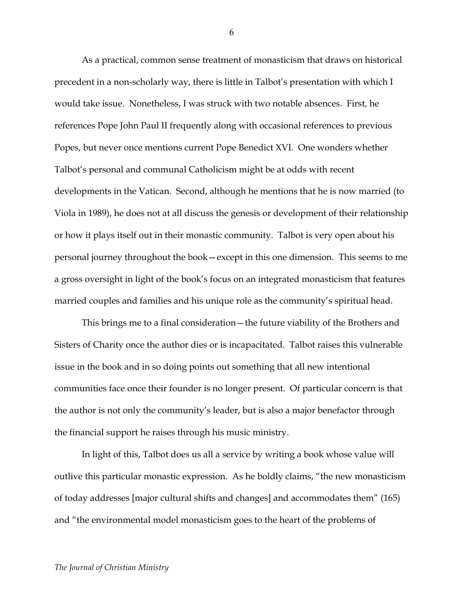As a practical, common sense treatment of monasticism that draws on historical precedent in a non-scholarly way, there is little in Talbot's presentation with which I would take issue. Nonetheless, I was struck with two notable absences. First, he references Pope John Paul II frequently along with occasional references to previous Popes, but never once mentions current Pope Benedict XVI. One wonders whether Talbot's personal and communal Catholicism might be at odds with recent developments in the Vatican. Second, although he mentions that he is now married (to Viola in 1989), he does not at all discuss the genesis or development of their relationship or how it plays itself out in their monastic community. Talbot is very open about his personal journey throughout the book—except in this one dimension. This seems to me a gross oversight in light of the book's focus on an integrated monasticism that features married couples and families and his unique role as the community's spiritual head.

This brings me to a final consideration—the future viability of the Brothers and Sisters of Charity once the author dies or is incapacitated. Talbot raises this vulnerable issue in the book and in so doing points out something that all new intentional communities face once their founder is no longer present. Of particular concern is that the author is not only the community's leader, but is also a major benefactor through the financial support he raises through his music ministry.

In light of this, Talbot does us all a service by writing a book whose value will outlive this particular monastic expression. As he boldly claims, "the new monasticism of today addresses [major cultural shifts and changes] and accommodates them" (165) and "the environmental model monasticism goes to the heart of the problems of